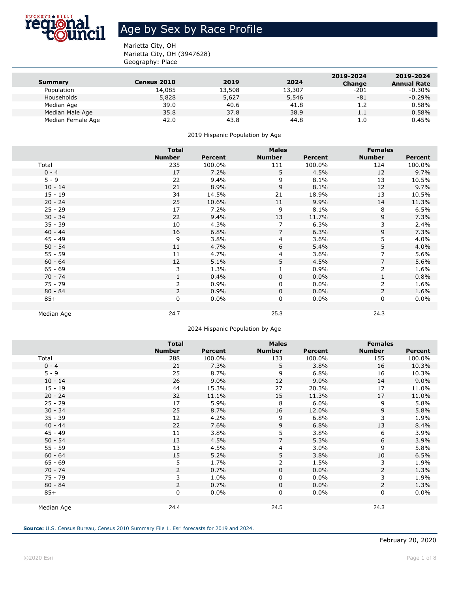

### Age by Sex by Race Profile

Marietta City, OH Marietta City, OH (3947628) Geography: Place

| Summary           | <b>Census 2010</b> | 2019   | 2024   | 2019-2024<br><b>Change</b> | 2019-2024<br><b>Annual Rate</b> |
|-------------------|--------------------|--------|--------|----------------------------|---------------------------------|
| Population        | 14,085             | 13,508 | 13,307 | $-201$                     | -0.30%                          |
| Households        | 5,828              | 5,627  | 5,546  | -81                        | $-0.29%$                        |
| Median Age        | 39.0               | 40.6   | 41.8   | 1.2                        | 0.58%                           |
| Median Male Age   | 35.8               | 37.8   | 38.9   | $1.1\,$                    | 0.58%                           |
| Median Female Age | 42.0               | 43.8   | 44.8   | 1.0                        | 0.45%                           |

2019 Hispanic Population by Age

|            | <b>Total</b>   |                | <b>Males</b>  |         | <b>Females</b> |         |
|------------|----------------|----------------|---------------|---------|----------------|---------|
|            | <b>Number</b>  | <b>Percent</b> | <b>Number</b> | Percent | <b>Number</b>  | Percent |
| Total      | 235            | 100.0%         | 111           | 100.0%  | 124            | 100.0%  |
| $0 - 4$    | 17             | 7.2%           | 5             | 4.5%    | 12             | 9.7%    |
| $5 - 9$    | 22             | 9.4%           | 9             | 8.1%    | 13             | 10.5%   |
| $10 - 14$  | 21             | 8.9%           | 9             | 8.1%    | 12             | 9.7%    |
| $15 - 19$  | 34             | 14.5%          | 21            | 18.9%   | 13             | 10.5%   |
| $20 - 24$  | 25             | 10.6%          | 11            | 9.9%    | 14             | 11.3%   |
| $25 - 29$  | 17             | 7.2%           | 9             | 8.1%    | 8              | 6.5%    |
| $30 - 34$  | 22             | 9.4%           | 13            | 11.7%   | 9              | 7.3%    |
| $35 - 39$  | 10             | 4.3%           | 7             | 6.3%    | 3              | 2.4%    |
| $40 - 44$  | 16             | 6.8%           | 7             | 6.3%    | 9              | 7.3%    |
| $45 - 49$  | 9              | 3.8%           | 4             | 3.6%    | 5              | 4.0%    |
| $50 - 54$  | 11             | 4.7%           | 6             | 5.4%    | 5              | 4.0%    |
| $55 - 59$  | 11             | 4.7%           | 4             | 3.6%    | 7              | 5.6%    |
| $60 - 64$  | 12             | 5.1%           | 5             | 4.5%    | 7              | 5.6%    |
| $65 - 69$  | 3              | 1.3%           |               | 0.9%    | 2              | 1.6%    |
| $70 - 74$  |                | 0.4%           | $\mathbf 0$   | $0.0\%$ | $\mathbf{1}$   | 0.8%    |
| $75 - 79$  | 2              | $0.9\%$        | 0             | $0.0\%$ | 2              | 1.6%    |
| $80 - 84$  | $\overline{2}$ | 0.9%           | 0             | $0.0\%$ | 2              | 1.6%    |
| $85+$      | 0              | $0.0\%$        | 0             | $0.0\%$ | 0              | $0.0\%$ |
|            |                |                |               |         |                |         |
| Median Age | 24.7           |                | 25.3          |         | 24.3           |         |

2024 Hispanic Population by Age

|            | <b>Total</b>   |                | <b>Males</b>   |         | <b>Females</b> |                |
|------------|----------------|----------------|----------------|---------|----------------|----------------|
|            | <b>Number</b>  | <b>Percent</b> | <b>Number</b>  | Percent | <b>Number</b>  | <b>Percent</b> |
| Total      | 288            | 100.0%         | 133            | 100.0%  | 155            | 100.0%         |
| $0 - 4$    | 21             | 7.3%           | 5.             | 3.8%    | 16             | 10.3%          |
| $5 - 9$    | 25             | 8.7%           | 9              | 6.8%    | 16             | 10.3%          |
| $10 - 14$  | 26             | $9.0\%$        | 12             | $9.0\%$ | 14             | 9.0%           |
| $15 - 19$  | 44             | 15.3%          | 27             | 20.3%   | 17             | 11.0%          |
| $20 - 24$  | 32             | 11.1%          | 15             | 11.3%   | 17             | 11.0%          |
| $25 - 29$  | 17             | 5.9%           | 8              | 6.0%    | 9              | 5.8%           |
| $30 - 34$  | 25             | 8.7%           | 16             | 12.0%   | 9              | 5.8%           |
| $35 - 39$  | 12             | 4.2%           | 9              | 6.8%    | 3              | 1.9%           |
| $40 - 44$  | 22             | 7.6%           | 9              | 6.8%    | 13             | 8.4%           |
| $45 - 49$  | 11             | 3.8%           | 5              | 3.8%    | 6              | 3.9%           |
| $50 - 54$  | 13             | 4.5%           | $\overline{7}$ | 5.3%    | 6              | 3.9%           |
| $55 - 59$  | 13             | 4.5%           | 4              | $3.0\%$ | 9              | 5.8%           |
| $60 - 64$  | 15             | 5.2%           | 5              | 3.8%    | 10             | 6.5%           |
| $65 - 69$  | 5              | 1.7%           | 2              | 1.5%    | 3              | 1.9%           |
| $70 - 74$  | $\overline{2}$ | 0.7%           | $\mathbf 0$    | $0.0\%$ | $\overline{2}$ | 1.3%           |
| $75 - 79$  | 3              | 1.0%           | 0              | $0.0\%$ | 3              | 1.9%           |
| $80 - 84$  | 2              | 0.7%           | 0              | $0.0\%$ | $\overline{2}$ | 1.3%           |
| $85+$      | 0              | $0.0\%$        | 0              | $0.0\%$ | 0              | $0.0\%$        |
|            |                |                |                |         |                |                |
| Median Age | 24.4           |                | 24.5           |         | 24.3           |                |

**Source:** U.S. Census Bureau, Census 2010 Summary File 1. Esri forecasts for 2019 and 2024.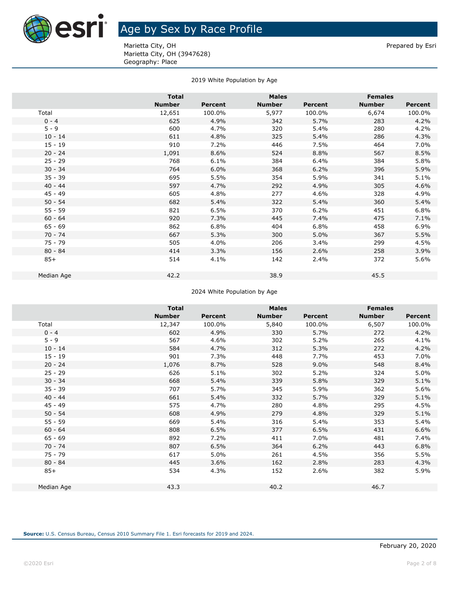

## **AST** Age by Sex by Race Profile

Marietta City, OH **Prepared by Esri** Prepared by Esri Marietta City, OH (3947628) Geography: Place

#### 2019 White Population by Age

|            | <b>Total</b>  |         |               |         |               | <b>Females</b> |  |
|------------|---------------|---------|---------------|---------|---------------|----------------|--|
|            | <b>Number</b> | Percent | <b>Number</b> | Percent | <b>Number</b> | Percent        |  |
| Total      | 12,651        | 100.0%  | 5,977         | 100.0%  | 6,674         | 100.0%         |  |
| $0 - 4$    | 625           | 4.9%    | 342           | 5.7%    | 283           | 4.2%           |  |
| $5 - 9$    | 600           | 4.7%    | 320           | 5.4%    | 280           | 4.2%           |  |
| $10 - 14$  | 611           | 4.8%    | 325           | 5.4%    | 286           | 4.3%           |  |
| $15 - 19$  | 910           | 7.2%    | 446           | 7.5%    | 464           | 7.0%           |  |
| $20 - 24$  | 1,091         | 8.6%    | 524           | 8.8%    | 567           | 8.5%           |  |
| $25 - 29$  | 768           | 6.1%    | 384           | 6.4%    | 384           | 5.8%           |  |
| $30 - 34$  | 764           | 6.0%    | 368           | 6.2%    | 396           | 5.9%           |  |
| $35 - 39$  | 695           | 5.5%    | 354           | 5.9%    | 341           | 5.1%           |  |
| $40 - 44$  | 597           | 4.7%    | 292           | 4.9%    | 305           | 4.6%           |  |
| $45 - 49$  | 605           | 4.8%    | 277           | 4.6%    | 328           | 4.9%           |  |
| $50 - 54$  | 682           | 5.4%    | 322           | 5.4%    | 360           | 5.4%           |  |
| $55 - 59$  | 821           | 6.5%    | 370           | 6.2%    | 451           | 6.8%           |  |
| $60 - 64$  | 920           | 7.3%    | 445           | 7.4%    | 475           | 7.1%           |  |
| $65 - 69$  | 862           | 6.8%    | 404           | 6.8%    | 458           | 6.9%           |  |
| $70 - 74$  | 667           | 5.3%    | 300           | 5.0%    | 367           | 5.5%           |  |
| $75 - 79$  | 505           | 4.0%    | 206           | 3.4%    | 299           | 4.5%           |  |
| $80 - 84$  | 414           | 3.3%    | 156           | 2.6%    | 258           | 3.9%           |  |
| $85+$      | 514           | 4.1%    | 142           | 2.4%    | 372           | 5.6%           |  |
| Median Age | 42.2          |         | 38.9          |         | 45.5          |                |  |

2024 White Population by Age

|            | <b>Total</b>  |         | <b>Males</b>  |         | <b>Females</b> |         |
|------------|---------------|---------|---------------|---------|----------------|---------|
|            | <b>Number</b> | Percent | <b>Number</b> | Percent | <b>Number</b>  | Percent |
| Total      | 12,347        | 100.0%  | 5,840         | 100.0%  | 6,507          | 100.0%  |
| $0 - 4$    | 602           | 4.9%    | 330           | 5.7%    | 272            | 4.2%    |
| $5 - 9$    | 567           | 4.6%    | 302           | 5.2%    | 265            | 4.1%    |
| $10 - 14$  | 584           | 4.7%    | 312           | 5.3%    | 272            | 4.2%    |
| $15 - 19$  | 901           | 7.3%    | 448           | 7.7%    | 453            | 7.0%    |
| $20 - 24$  | 1,076         | 8.7%    | 528           | 9.0%    | 548            | 8.4%    |
| $25 - 29$  | 626           | 5.1%    | 302           | 5.2%    | 324            | 5.0%    |
| $30 - 34$  | 668           | 5.4%    | 339           | 5.8%    | 329            | 5.1%    |
| $35 - 39$  | 707           | 5.7%    | 345           | 5.9%    | 362            | 5.6%    |
| $40 - 44$  | 661           | 5.4%    | 332           | 5.7%    | 329            | 5.1%    |
| $45 - 49$  | 575           | 4.7%    | 280           | 4.8%    | 295            | 4.5%    |
| $50 - 54$  | 608           | 4.9%    | 279           | 4.8%    | 329            | 5.1%    |
| $55 - 59$  | 669           | 5.4%    | 316           | 5.4%    | 353            | 5.4%    |
| $60 - 64$  | 808           | 6.5%    | 377           | 6.5%    | 431            | 6.6%    |
| $65 - 69$  | 892           | 7.2%    | 411           | 7.0%    | 481            | 7.4%    |
| $70 - 74$  | 807           | 6.5%    | 364           | 6.2%    | 443            | 6.8%    |
| $75 - 79$  | 617           | 5.0%    | 261           | 4.5%    | 356            | 5.5%    |
| $80 - 84$  | 445           | 3.6%    | 162           | 2.8%    | 283            | 4.3%    |
| $85+$      | 534           | 4.3%    | 152           | 2.6%    | 382            | 5.9%    |
|            |               |         |               |         |                |         |
| Median Age | 43.3          |         | 40.2          |         | 46.7           |         |
|            |               |         |               |         |                |         |

**Source:** U.S. Census Bureau, Census 2010 Summary File 1. Esri forecasts for 2019 and 2024.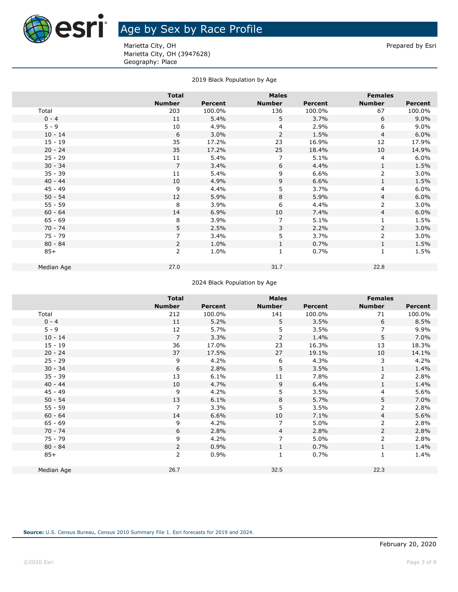

Marietta City, OH **Prepared by Esri** Prepared by Esri Marietta City, OH (3947628) Geography: Place

|  |  | 2019 Black Population by Age |  |  |
|--|--|------------------------------|--|--|
|--|--|------------------------------|--|--|

|            | <b>Total</b>   |         | <b>Males</b>   |         | <b>Females</b> |                |
|------------|----------------|---------|----------------|---------|----------------|----------------|
|            | <b>Number</b>  | Percent | <b>Number</b>  | Percent | <b>Number</b>  | <b>Percent</b> |
| Total      | 203            | 100.0%  | 136            | 100.0%  | 67             | 100.0%         |
| $0 - 4$    | 11             | 5.4%    | 5              | 3.7%    | 6              | 9.0%           |
| $5 - 9$    | 10             | 4.9%    | $\overline{4}$ | 2.9%    | 6              | 9.0%           |
| $10 - 14$  | 6              | 3.0%    | $\overline{2}$ | 1.5%    | $\overline{4}$ | 6.0%           |
| $15 - 19$  | 35             | 17.2%   | 23             | 16.9%   | 12             | 17.9%          |
| $20 - 24$  | 35             | 17.2%   | 25             | 18.4%   | 10             | 14.9%          |
| $25 - 29$  | 11             | 5.4%    | 7              | 5.1%    | 4              | 6.0%           |
| $30 - 34$  | 7              | 3.4%    | 6              | 4.4%    | $\mathbf{1}$   | 1.5%           |
| $35 - 39$  | 11             | 5.4%    | 9              | 6.6%    | 2              | 3.0%           |
| $40 - 44$  | 10             | 4.9%    | 9              | 6.6%    | $\mathbf{1}$   | 1.5%           |
| $45 - 49$  | 9              | 4.4%    | 5              | 3.7%    | 4              | 6.0%           |
| $50 - 54$  | 12             | 5.9%    | 8              | 5.9%    | $\overline{4}$ | 6.0%           |
| $55 - 59$  | 8              | 3.9%    | 6              | 4.4%    | 2              | 3.0%           |
| $60 - 64$  | 14             | 6.9%    | 10             | 7.4%    | $\overline{4}$ | 6.0%           |
| $65 - 69$  | 8              | 3.9%    | $\overline{7}$ | 5.1%    | $\mathbf{1}$   | 1.5%           |
| $70 - 74$  | 5              | 2.5%    | 3              | 2.2%    | 2              | 3.0%           |
| $75 - 79$  | 7              | 3.4%    | 5              | 3.7%    | 2              | 3.0%           |
| $80 - 84$  | $\overline{2}$ | 1.0%    | $\mathbf{1}$   | 0.7%    | $\mathbf{1}$   | 1.5%           |
| $85+$      | $\overline{2}$ | 1.0%    | $\mathbf{1}$   | 0.7%    | $\mathbf{1}$   | 1.5%           |
|            |                |         |                |         |                |                |
| Median Age | 27.0           |         | 31.7           |         | 22.8           |                |

#### 2024 Black Population by Age

|            | <b>Total</b>   |         | <b>Males</b>   |         | <b>Females</b> |         |
|------------|----------------|---------|----------------|---------|----------------|---------|
|            | <b>Number</b>  | Percent | <b>Number</b>  | Percent | <b>Number</b>  | Percent |
| Total      | 212            | 100.0%  | 141            | 100.0%  | 71             | 100.0%  |
| $0 - 4$    | 11             | 5.2%    | 5              | 3.5%    | 6              | 8.5%    |
| $5 - 9$    | 12             | 5.7%    | 5              | 3.5%    | 7              | 9.9%    |
| $10 - 14$  | $\overline{7}$ | 3.3%    | $\overline{2}$ | 1.4%    | 5              | 7.0%    |
| $15 - 19$  | 36             | 17.0%   | 23             | 16.3%   | 13             | 18.3%   |
| $20 - 24$  | 37             | 17.5%   | 27             | 19.1%   | 10             | 14.1%   |
| $25 - 29$  | 9              | 4.2%    | 6              | 4.3%    | 3              | 4.2%    |
| $30 - 34$  | 6              | 2.8%    | 5              | 3.5%    | $\mathbf{1}$   | 1.4%    |
| $35 - 39$  | 13             | 6.1%    | 11             | 7.8%    | 2              | 2.8%    |
| $40 - 44$  | 10             | 4.7%    | 9              | 6.4%    | $\mathbf{1}$   | 1.4%    |
| $45 - 49$  | 9              | 4.2%    | 5              | 3.5%    | 4              | 5.6%    |
| $50 - 54$  | 13             | 6.1%    | 8              | 5.7%    | 5              | 7.0%    |
| $55 - 59$  | 7              | 3.3%    | 5              | 3.5%    | 2              | 2.8%    |
| $60 - 64$  | 14             | 6.6%    | 10             | 7.1%    | 4              | 5.6%    |
| $65 - 69$  | 9              | 4.2%    | 7              | 5.0%    | 2              | 2.8%    |
| $70 - 74$  | 6              | 2.8%    | 4              | 2.8%    | $\overline{2}$ | 2.8%    |
| 75 - 79    | 9              | 4.2%    | 7              | 5.0%    | 2              | 2.8%    |
| $80 - 84$  | $\overline{2}$ | 0.9%    | 1              | 0.7%    | $\mathbf{1}$   | 1.4%    |
| $85+$      | $\overline{2}$ | 0.9%    | $\mathbf{1}$   | 0.7%    | $\mathbf{1}$   | 1.4%    |
| Median Age | 26.7           |         | 32.5           |         | 22.3           |         |
|            |                |         |                |         |                |         |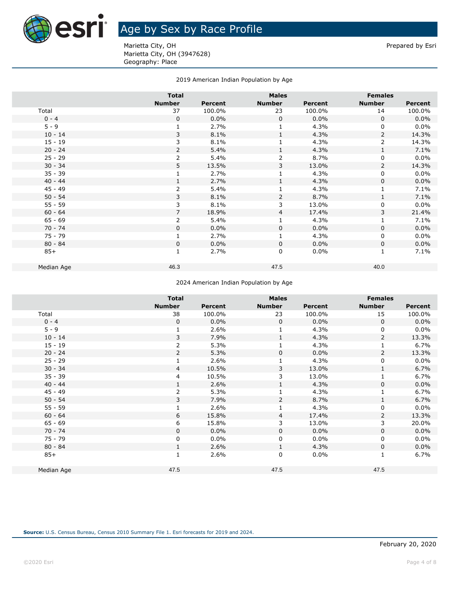

## **Age by Sex by Race Profile**

Marietta City, OH **Prepared by Esri** Prepared by Esri Marietta City, OH (3947628) Geography: Place

### 2019 American Indian Population by Age

| <b>Total</b>   |                |                | <b>Males</b>   |                | <b>Females</b> |  |
|----------------|----------------|----------------|----------------|----------------|----------------|--|
| <b>Number</b>  | <b>Percent</b> | <b>Number</b>  | <b>Percent</b> | <b>Number</b>  | <b>Percent</b> |  |
| 37             | 100.0%         | 23             | 100.0%         | 14             | 100.0%         |  |
| $\mathbf 0$    | 0.0%           | $\mathbf 0$    | $0.0\%$        | $\Omega$       | 0.0%           |  |
| 1              | 2.7%           | 1              | 4.3%           | 0              | 0.0%           |  |
| 3              | 8.1%           | 1              | 4.3%           | 2              | 14.3%          |  |
| 3              | 8.1%           |                | 4.3%           | 2              | 14.3%          |  |
| $\overline{2}$ | 5.4%           | 1              | 4.3%           | $\mathbf{1}$   | 7.1%           |  |
| 2              | 5.4%           | $\overline{2}$ | 8.7%           | 0              | 0.0%           |  |
| 5              | 13.5%          | 3              | 13.0%          | $\overline{2}$ | 14.3%          |  |
| 1              | 2.7%           | $\mathbf{1}$   | 4.3%           | 0              | 0.0%           |  |
| 1              | 2.7%           | 1              | 4.3%           | 0              | 0.0%           |  |
| 2              | 5.4%           |                | 4.3%           |                | 7.1%           |  |
| 3              | 8.1%           | $\overline{2}$ | 8.7%           | $\mathbf{1}$   | 7.1%           |  |
| 3              | 8.1%           | 3              | 13.0%          | 0              | 0.0%           |  |
| $\overline{7}$ | 18.9%          | 4              | 17.4%          | 3              | 21.4%          |  |
| $\overline{2}$ | 5.4%           | 1              | 4.3%           | $\mathbf 1$    | 7.1%           |  |
| 0              | 0.0%           | 0              | $0.0\%$        | 0              | 0.0%           |  |
| $\mathbf{1}$   | 2.7%           | 1              | 4.3%           | 0              | 0.0%           |  |
| $\Omega$       | 0.0%           | $\Omega$       | $0.0\%$        | 0              | 0.0%           |  |
| $\mathbf{1}$   | 2.7%           | $\mathbf 0$    | $0.0\%$        | $\mathbf{1}$   | 7.1%           |  |
|                |                |                |                |                |                |  |
|                |                |                |                |                |                |  |
|                | 46.3           |                | 47.5           |                | 40.0           |  |

#### 2024 American Indian Population by Age

|            | <b>Total</b>  |         | <b>Males</b>  |         | <b>Females</b> |         |
|------------|---------------|---------|---------------|---------|----------------|---------|
|            | <b>Number</b> | Percent | <b>Number</b> | Percent | <b>Number</b>  | Percent |
| Total      | 38            | 100.0%  | 23            | 100.0%  | 15             | 100.0%  |
| $0 - 4$    | $\mathbf 0$   | $0.0\%$ | $\mathbf 0$   | 0.0%    | $\mathbf 0$    | 0.0%    |
| $5 - 9$    |               | 2.6%    |               | 4.3%    | 0              | 0.0%    |
| $10 - 14$  | 3             | 7.9%    | $\mathbf{1}$  | 4.3%    | $\overline{2}$ | 13.3%   |
| $15 - 19$  | 2             | 5.3%    |               | 4.3%    | $\mathbf 1$    | 6.7%    |
| $20 - 24$  | 2             | 5.3%    | 0             | 0.0%    | 2              | 13.3%   |
| $25 - 29$  |               | 2.6%    |               | 4.3%    | 0              | 0.0%    |
| $30 - 34$  | 4             | 10.5%   | 3             | 13.0%   | $\mathbf{1}$   | 6.7%    |
| $35 - 39$  | 4             | 10.5%   | 3             | 13.0%   | $\mathbf{1}$   | 6.7%    |
| $40 - 44$  |               | 2.6%    |               | 4.3%    | 0              | 0.0%    |
| $45 - 49$  | 2             | 5.3%    |               | 4.3%    | $\mathbf{1}$   | 6.7%    |
| $50 - 54$  | 3             | 7.9%    | 2             | 8.7%    | 1              | 6.7%    |
| $55 - 59$  |               | 2.6%    |               | 4.3%    | 0              | 0.0%    |
| $60 - 64$  | 6             | 15.8%   | 4             | 17.4%   | 2              | 13.3%   |
| $65 - 69$  | 6             | 15.8%   | 3             | 13.0%   | 3              | 20.0%   |
| $70 - 74$  | 0             | $0.0\%$ | 0             | 0.0%    | 0              | 0.0%    |
| $75 - 79$  | 0             | $0.0\%$ | 0             | 0.0%    | 0              | 0.0%    |
| $80 - 84$  |               | 2.6%    | $\mathbf{1}$  | 4.3%    | 0              | 0.0%    |
| $85+$      |               | 2.6%    | $\mathbf 0$   | 0.0%    | 1              | 6.7%    |
| Median Age | 47.5          |         | 47.5          |         | 47.5           |         |
|            |               |         |               |         |                |         |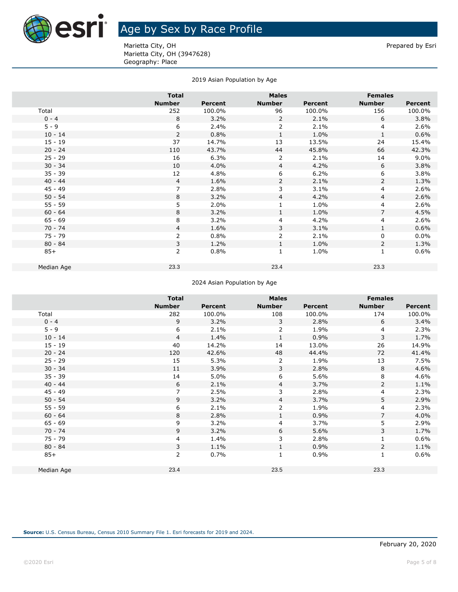

# **ASTI** Age by Sex by Race Profile

Marietta City, OH **Prepared by Esri** Prepared by Esri Marietta City, OH (3947628) Geography: Place

|            | <b>Total</b>  |                | <b>Males</b>   |                | <b>Females</b> |                |
|------------|---------------|----------------|----------------|----------------|----------------|----------------|
|            | <b>Number</b> | <b>Percent</b> | <b>Number</b>  | <b>Percent</b> | <b>Number</b>  | <b>Percent</b> |
| Total      | 252           | 100.0%         | 96             | 100.0%         | 156            | 100.0%         |
| $0 - 4$    | 8             | 3.2%           | $\overline{2}$ | 2.1%           | 6              | 3.8%           |
| $5 - 9$    | 6             | 2.4%           | 2              | 2.1%           | 4              | 2.6%           |
| $10 - 14$  | 2             | 0.8%           | 1              | 1.0%           | 1              | 0.6%           |
| $15 - 19$  | 37            | 14.7%          | 13             | 13.5%          | 24             | 15.4%          |
| $20 - 24$  | 110           | 43.7%          | 44             | 45.8%          | 66             | 42.3%          |
| $25 - 29$  | 16            | 6.3%           | 2              | 2.1%           | 14             | 9.0%           |
| $30 - 34$  | 10            | 4.0%           | $\overline{4}$ | 4.2%           | 6              | 3.8%           |
| $35 - 39$  | 12            | 4.8%           | 6              | 6.2%           | 6              | 3.8%           |
| $40 - 44$  | 4             | 1.6%           | 2              | 2.1%           | $\overline{2}$ | 1.3%           |
| $45 - 49$  | 7             | 2.8%           | 3              | 3.1%           | 4              | 2.6%           |
| $50 - 54$  | 8             | 3.2%           | 4              | 4.2%           | $\overline{4}$ | 2.6%           |
| $55 - 59$  | 5             | 2.0%           | $\mathbf 1$    | 1.0%           | $\overline{4}$ | 2.6%           |
| $60 - 64$  | 8             | 3.2%           | 1              | 1.0%           | $\overline{7}$ | 4.5%           |
| $65 - 69$  | 8             | 3.2%           | 4              | 4.2%           | $\overline{4}$ | 2.6%           |
| $70 - 74$  | 4             | 1.6%           | 3              | 3.1%           | $\mathbf{1}$   | 0.6%           |
| 75 - 79    | 2             | 0.8%           | 2              | 2.1%           | 0              | $0.0\%$        |
| $80 - 84$  | 3             | 1.2%           | 1              | 1.0%           | $\overline{2}$ | 1.3%           |
| $85+$      | 2             | 0.8%           | 1              | 1.0%           | $\mathbf{1}$   | 0.6%           |
| Median Age | 23.3          |                | 23.4           |                | 23.3           |                |
|            |               |                |                |                |                |                |

#### 2019 Asian Population by Age

#### 2024 Asian Population by Age

|            | <b>Total</b>   |         | <b>Males</b>  |         | <b>Females</b> |         |
|------------|----------------|---------|---------------|---------|----------------|---------|
|            | <b>Number</b>  | Percent | <b>Number</b> | Percent | <b>Number</b>  | Percent |
| Total      | 282            | 100.0%  | 108           | 100.0%  | 174            | 100.0%  |
| $0 - 4$    | 9              | 3.2%    | 3             | 2.8%    | 6              | 3.4%    |
| $5 - 9$    | 6              | 2.1%    | 2             | 1.9%    | 4              | 2.3%    |
| $10 - 14$  | $\overline{4}$ | 1.4%    | $\mathbf{1}$  | 0.9%    | 3              | 1.7%    |
| $15 - 19$  | 40             | 14.2%   | 14            | 13.0%   | 26             | 14.9%   |
| $20 - 24$  | 120            | 42.6%   | 48            | 44.4%   | 72             | 41.4%   |
| $25 - 29$  | 15             | 5.3%    | 2             | 1.9%    | 13             | 7.5%    |
| $30 - 34$  | 11             | 3.9%    | 3             | 2.8%    | 8              | 4.6%    |
| $35 - 39$  | 14             | 5.0%    | 6             | 5.6%    | 8              | 4.6%    |
| $40 - 44$  | 6              | 2.1%    | 4             | 3.7%    | $\overline{2}$ | 1.1%    |
| $45 - 49$  | $\overline{7}$ | 2.5%    | 3             | 2.8%    | 4              | 2.3%    |
| $50 - 54$  | 9              | 3.2%    | 4             | 3.7%    | 5              | 2.9%    |
| $55 - 59$  | 6              | 2.1%    | 2             | 1.9%    | 4              | 2.3%    |
| $60 - 64$  | 8              | 2.8%    | 1             | 0.9%    | 7              | 4.0%    |
| $65 - 69$  | 9              | 3.2%    | 4             | 3.7%    | 5              | 2.9%    |
| $70 - 74$  | 9              | 3.2%    | 6             | 5.6%    | 3              | 1.7%    |
| 75 - 79    | 4              | 1.4%    | 3             | 2.8%    | $\mathbf{1}$   | 0.6%    |
| $80 - 84$  | 3              | 1.1%    | $\mathbf{1}$  | 0.9%    | $\overline{2}$ | 1.1%    |
| $85+$      | 2              | 0.7%    | $\mathbf{1}$  | 0.9%    | $\mathbf{1}$   | 0.6%    |
|            |                |         |               |         |                |         |
| Median Age | 23.4           |         | 23.5          |         | 23.3           |         |
|            |                |         |               |         |                |         |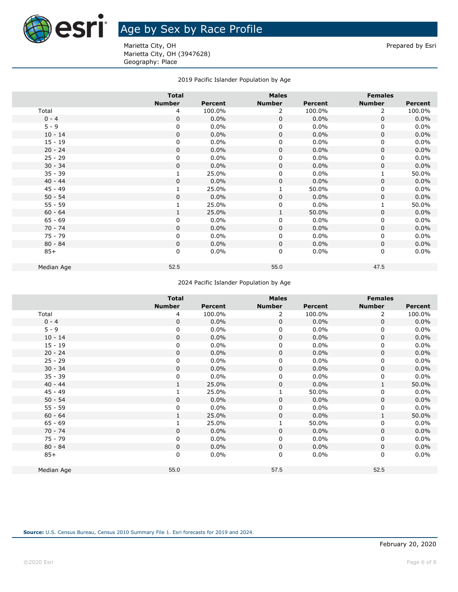

## **Age by Sex by Race Profile**

Marietta City, OH **Prepared by Esri** Prepared by Esri Marietta City, OH (3947628) Geography: Place

### 2019 Pacific Islander Population by Age

|            | <b>Total</b>  |         |               | <b>Males</b> |               | <b>Females</b> |  |
|------------|---------------|---------|---------------|--------------|---------------|----------------|--|
|            | <b>Number</b> | Percent | <b>Number</b> | Percent      | <b>Number</b> | <b>Percent</b> |  |
| Total      | 4             | 100.0%  | 2             | 100.0%       | 2             | 100.0%         |  |
| $0 - 4$    | $\Omega$      | $0.0\%$ | $\mathbf{0}$  | 0.0%         | $\Omega$      | 0.0%           |  |
| $5 - 9$    | 0             | 0.0%    | 0             | 0.0%         | 0             | 0.0%           |  |
| $10 - 14$  | $\mathbf 0$   | 0.0%    | 0             | 0.0%         | 0             | 0.0%           |  |
| $15 - 19$  | 0             | 0.0%    | $\Omega$      | 0.0%         | 0             | 0.0%           |  |
| $20 - 24$  | $\Omega$      | 0.0%    | $\mathbf 0$   | 0.0%         | $\mathbf 0$   | 0.0%           |  |
| $25 - 29$  | 0             | 0.0%    | $\Omega$      | 0.0%         | 0             | 0.0%           |  |
| $30 - 34$  | $\mathbf 0$   | 0.0%    | $\Omega$      | 0.0%         | 0             | 0.0%           |  |
| $35 - 39$  |               | 25.0%   | $\Omega$      | 0.0%         | $\mathbf{1}$  | 50.0%          |  |
| $40 - 44$  | $\mathbf 0$   | 0.0%    | $\mathbf 0$   | 0.0%         | $\mathbf 0$   | 0.0%           |  |
| $45 - 49$  |               | 25.0%   |               | 50.0%        | 0             | 0.0%           |  |
| $50 - 54$  | $\mathbf 0$   | 0.0%    | $\Omega$      | $0.0\%$      | $\mathbf 0$   | 0.0%           |  |
| $55 - 59$  |               | 25.0%   | 0             | $0.0\%$      | $\mathbf{1}$  | 50.0%          |  |
| $60 - 64$  | $\mathbf{1}$  | 25.0%   | 1             | 50.0%        | 0             | 0.0%           |  |
| $65 - 69$  | 0             | 0.0%    | 0             | 0.0%         | 0             | 0.0%           |  |
| $70 - 74$  | 0             | 0.0%    | 0             | 0.0%         | 0             | 0.0%           |  |
| $75 - 79$  | 0             | 0.0%    | 0             | 0.0%         | 0             | 0.0%           |  |
| $80 - 84$  | $\Omega$      | 0.0%    | $\Omega$      | 0.0%         | $\mathbf 0$   | 0.0%           |  |
| $85+$      | 0             | 0.0%    | $\Omega$      | 0.0%         | 0             | 0.0%           |  |
|            |               |         |               |              |               |                |  |
| Median Age | 52.5          |         | 55.0          |              | 47.5          |                |  |
|            |               |         |               |              |               |                |  |

#### 2024 Pacific Islander Population by Age

|            | <b>Total</b>  |         | <b>Males</b>  |         | <b>Females</b> |                |
|------------|---------------|---------|---------------|---------|----------------|----------------|
|            | <b>Number</b> | Percent | <b>Number</b> | Percent | <b>Number</b>  | <b>Percent</b> |
| Total      | 4             | 100.0%  | 2             | 100.0%  | 2              | 100.0%         |
| $0 - 4$    | $\mathbf 0$   | 0.0%    | 0             | 0.0%    | $\mathbf 0$    | 0.0%           |
| $5 - 9$    | 0             | $0.0\%$ | 0             | $0.0\%$ | 0              | 0.0%           |
| $10 - 14$  | 0             | 0.0%    | 0             | 0.0%    | $\mathbf 0$    | 0.0%           |
| $15 - 19$  | 0             | 0.0%    | 0             | $0.0\%$ | 0              | 0.0%           |
| $20 - 24$  | 0             | 0.0%    | 0             | 0.0%    | 0              | 0.0%           |
| $25 - 29$  | 0             | 0.0%    | 0             | 0.0%    | $\mathbf 0$    | 0.0%           |
| $30 - 34$  | 0             | 0.0%    | 0             | 0.0%    | $\mathbf 0$    | 0.0%           |
| $35 - 39$  | 0             | 0.0%    | 0             | $0.0\%$ | $\mathbf 0$    | 0.0%           |
| $40 - 44$  |               | 25.0%   | 0             | 0.0%    | 1              | 50.0%          |
| $45 - 49$  |               | 25.0%   | $\mathbf{1}$  | 50.0%   | 0              | 0.0%           |
| $50 - 54$  | $\mathbf 0$   | 0.0%    | 0             | 0.0%    | $\mathbf 0$    | 0.0%           |
| $55 - 59$  | 0             | 0.0%    | 0             | 0.0%    | 0              | 0.0%           |
| $60 - 64$  |               | 25.0%   | 0             | 0.0%    | 1              | 50.0%          |
| $65 - 69$  |               | 25.0%   | 1             | 50.0%   | 0              | 0.0%           |
| $70 - 74$  | 0             | 0.0%    | 0             | 0.0%    | $\mathbf 0$    | 0.0%           |
| $75 - 79$  | 0             | $0.0\%$ | 0             | 0.0%    | 0              | 0.0%           |
| $80 - 84$  | 0             | 0.0%    | $\mathbf 0$   | 0.0%    | $\mathbf 0$    | 0.0%           |
| $85+$      | 0             | 0.0%    | 0             | $0.0\%$ | 0              | 0.0%           |
| Median Age | 55.0          |         | 57.5          |         | 52.5           |                |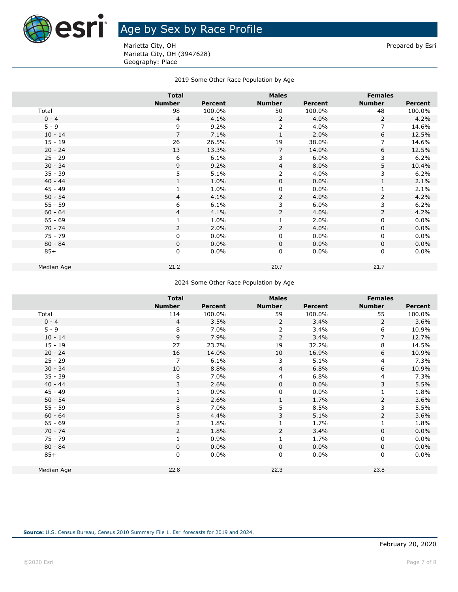

## **ASH** Age by Sex by Race Profile

Marietta City, OH **Prepared by Esri** Prepared by Esri Marietta City, OH (3947628) Geography: Place

### 2019 Some Other Race Population by Age

|            | <b>Total</b>   |         | <b>Males</b>   |                | <b>Females</b> |                |
|------------|----------------|---------|----------------|----------------|----------------|----------------|
|            | <b>Number</b>  | Percent | <b>Number</b>  | <b>Percent</b> | <b>Number</b>  | <b>Percent</b> |
| Total      | 98             | 100.0%  | 50             | 100.0%         | 48             | 100.0%         |
| $0 - 4$    | $\overline{4}$ | 4.1%    | 2              | 4.0%           | 2              | 4.2%           |
| $5 - 9$    | 9              | 9.2%    | 2              | 4.0%           | 7              | 14.6%          |
| $10 - 14$  | $\overline{7}$ | 7.1%    | 1              | 2.0%           | 6              | 12.5%          |
| $15 - 19$  | 26             | 26.5%   | 19             | 38.0%          | $\overline{7}$ | 14.6%          |
| $20 - 24$  | 13             | 13.3%   | $\overline{7}$ | 14.0%          | 6              | 12.5%          |
| $25 - 29$  | 6              | 6.1%    | 3              | 6.0%           | 3              | 6.2%           |
| $30 - 34$  | 9              | 9.2%    | $\overline{4}$ | 8.0%           | 5              | 10.4%          |
| $35 - 39$  | 5              | 5.1%    | $\overline{2}$ | 4.0%           | 3              | 6.2%           |
| $40 - 44$  |                | 1.0%    | $\mathbf 0$    | 0.0%           | $\mathbf{1}$   | 2.1%           |
| $45 - 49$  |                | 1.0%    | 0              | $0.0\%$        |                | 2.1%           |
| $50 - 54$  | $\overline{4}$ | 4.1%    | $\overline{2}$ | 4.0%           | $\overline{2}$ | 4.2%           |
| $55 - 59$  | 6              | 6.1%    | 3              | 6.0%           | 3              | 6.2%           |
| $60 - 64$  | $\overline{4}$ | 4.1%    | $\overline{2}$ | 4.0%           | $\overline{2}$ | 4.2%           |
| $65 - 69$  |                | 1.0%    | 1              | 2.0%           | $\mathbf 0$    | 0.0%           |
| $70 - 74$  | 2              | 2.0%    | 2              | 4.0%           | 0              | 0.0%           |
| $75 - 79$  | 0              | 0.0%    | $\mathbf 0$    | $0.0\%$        | 0              | 0.0%           |
| $80 - 84$  | 0              | 0.0%    | $\mathbf{0}$   | 0.0%           | $\mathbf 0$    | 0.0%           |
| $85+$      | 0              | 0.0%    | $\mathbf 0$    | $0.0\%$        | $\mathbf 0$    | $0.0\%$        |
| Median Age | 21.2           |         | 20.7           |                | 21.7           |                |
|            |                |         |                |                |                |                |

#### 2024 Some Other Race Population by Age

|            | <b>Total</b>   |                | <b>Males</b>   |         | <b>Females</b> |         |
|------------|----------------|----------------|----------------|---------|----------------|---------|
|            |                |                |                |         |                |         |
|            | <b>Number</b>  | <b>Percent</b> | <b>Number</b>  | Percent | <b>Number</b>  | Percent |
| Total      | 114            | 100.0%         | 59             | 100.0%  | 55             | 100.0%  |
| $0 - 4$    | 4              | 3.5%           | $\overline{2}$ | 3.4%    | $\overline{2}$ | 3.6%    |
| $5 - 9$    | 8              | 7.0%           | 2              | 3.4%    | 6              | 10.9%   |
| $10 - 14$  | 9              | 7.9%           | $\overline{2}$ | 3.4%    | 7              | 12.7%   |
| $15 - 19$  | 27             | 23.7%          | 19             | 32.2%   | 8              | 14.5%   |
| $20 - 24$  | 16             | 14.0%          | 10             | 16.9%   | 6              | 10.9%   |
| $25 - 29$  | 7              | 6.1%           | 3              | 5.1%    | 4              | 7.3%    |
| $30 - 34$  | 10             | 8.8%           | 4              | 6.8%    | 6              | 10.9%   |
| $35 - 39$  | 8              | 7.0%           | 4              | 6.8%    | 4              | 7.3%    |
| $40 - 44$  | 3              | 2.6%           | 0              | 0.0%    | 3              | 5.5%    |
| $45 - 49$  |                | 0.9%           | 0              | 0.0%    | $\mathbf{1}$   | 1.8%    |
| $50 - 54$  | 3              | 2.6%           | $\mathbf{1}$   | 1.7%    | 2              | 3.6%    |
| $55 - 59$  | 8              | 7.0%           | 5              | 8.5%    | 3              | 5.5%    |
| $60 - 64$  | 5              | 4.4%           | 3              | 5.1%    | 2              | 3.6%    |
| $65 - 69$  | $\overline{2}$ | 1.8%           |                | 1.7%    | $\mathbf 1$    | 1.8%    |
| $70 - 74$  | 2              | 1.8%           | 2              | 3.4%    | 0              | 0.0%    |
| $75 - 79$  |                | 0.9%           |                | 1.7%    | 0              | 0.0%    |
| $80 - 84$  | 0              | $0.0\%$        | 0              | 0.0%    | 0              | 0.0%    |
| $85+$      | 0              | $0.0\%$        | 0              | 0.0%    | 0              | 0.0%    |
|            |                |                |                |         |                |         |
| Median Age | 22.8           |                | 22.3           |         | 23.8           |         |
|            |                |                |                |         |                |         |